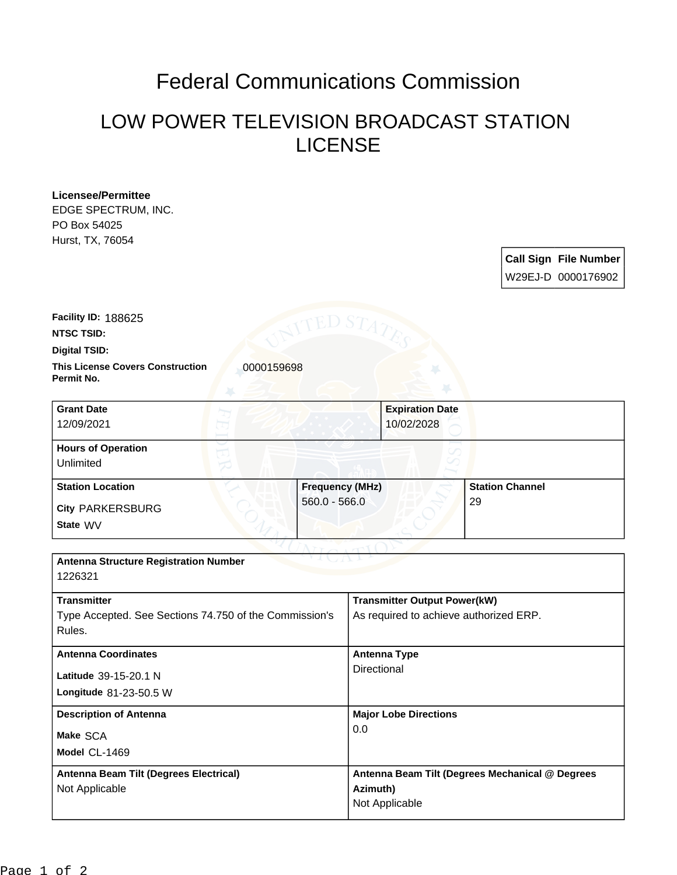## Federal Communications Commission

## LOW POWER TELEVISION BROADCAST STATION LICENSE

| <b>Licensee/Permittee</b>                                           |                        |                                                             |                                        |    |                        |                              |  |
|---------------------------------------------------------------------|------------------------|-------------------------------------------------------------|----------------------------------------|----|------------------------|------------------------------|--|
| EDGE SPECTRUM, INC.                                                 |                        |                                                             |                                        |    |                        |                              |  |
| PO Box 54025                                                        |                        |                                                             |                                        |    |                        |                              |  |
| Hurst, TX, 76054                                                    |                        |                                                             |                                        |    |                        |                              |  |
|                                                                     |                        |                                                             |                                        |    |                        | <b>Call Sign File Number</b> |  |
|                                                                     |                        |                                                             |                                        |    |                        | W29EJ-D 0000176902           |  |
|                                                                     |                        |                                                             |                                        |    |                        |                              |  |
|                                                                     |                        |                                                             |                                        |    |                        |                              |  |
| Facility ID: 188625                                                 | ED ST.                 |                                                             |                                        |    |                        |                              |  |
| <b>NTSC TSID:</b>                                                   |                        |                                                             |                                        |    |                        |                              |  |
| <b>Digital TSID:</b>                                                |                        |                                                             |                                        |    |                        |                              |  |
| <b>This License Covers Construction</b><br>0000159698<br>Permit No. |                        |                                                             |                                        |    |                        |                              |  |
| <b>Grant Date</b>                                                   |                        |                                                             | <b>Expiration Date</b>                 |    |                        |                              |  |
| 12/09/2021                                                          |                        |                                                             | 10/02/2028                             |    |                        |                              |  |
|                                                                     |                        |                                                             |                                        |    |                        |                              |  |
| <b>Hours of Operation</b>                                           |                        |                                                             |                                        |    |                        |                              |  |
| Unlimited                                                           |                        |                                                             |                                        |    |                        |                              |  |
| <b>Station Location</b>                                             | <b>Frequency (MHz)</b> |                                                             |                                        |    | <b>Station Channel</b> |                              |  |
| <b>City PARKERSBURG</b>                                             | $560.0 - 566.0$        |                                                             |                                        | 29 |                        |                              |  |
| State WV                                                            |                        |                                                             |                                        |    |                        |                              |  |
|                                                                     |                        |                                                             |                                        |    |                        |                              |  |
|                                                                     |                        |                                                             |                                        |    |                        |                              |  |
| <b>Antenna Structure Registration Number</b>                        |                        |                                                             |                                        |    |                        |                              |  |
| 1226321                                                             |                        |                                                             |                                        |    |                        |                              |  |
| <b>Transmitter</b>                                                  |                        |                                                             | <b>Transmitter Output Power(kW)</b>    |    |                        |                              |  |
| Type Accepted. See Sections 74.750 of the Commission's              |                        |                                                             | As required to achieve authorized ERP. |    |                        |                              |  |
| Rules.                                                              |                        |                                                             |                                        |    |                        |                              |  |
| <b>Antenna Coordinates</b>                                          |                        |                                                             | <b>Antenna Type</b>                    |    |                        |                              |  |
|                                                                     |                        |                                                             | Directional                            |    |                        |                              |  |
| Latitude 39-15-20.1 N                                               |                        |                                                             |                                        |    |                        |                              |  |
| Longitude 81-23-50.5 W                                              |                        |                                                             |                                        |    |                        |                              |  |
| <b>Description of Antenna</b>                                       |                        |                                                             | <b>Major Lobe Directions</b>           |    |                        |                              |  |
| Make SCA                                                            |                        | 0.0                                                         |                                        |    |                        |                              |  |
| Model CL-1469                                                       |                        |                                                             |                                        |    |                        |                              |  |
| Antenna Beam Tilt (Degrees Electrical)                              |                        |                                                             |                                        |    |                        |                              |  |
| Not Applicable                                                      |                        | Antenna Beam Tilt (Degrees Mechanical @ Degrees<br>Azimuth) |                                        |    |                        |                              |  |
|                                                                     |                        |                                                             | Not Applicable                         |    |                        |                              |  |
|                                                                     |                        |                                                             |                                        |    |                        |                              |  |